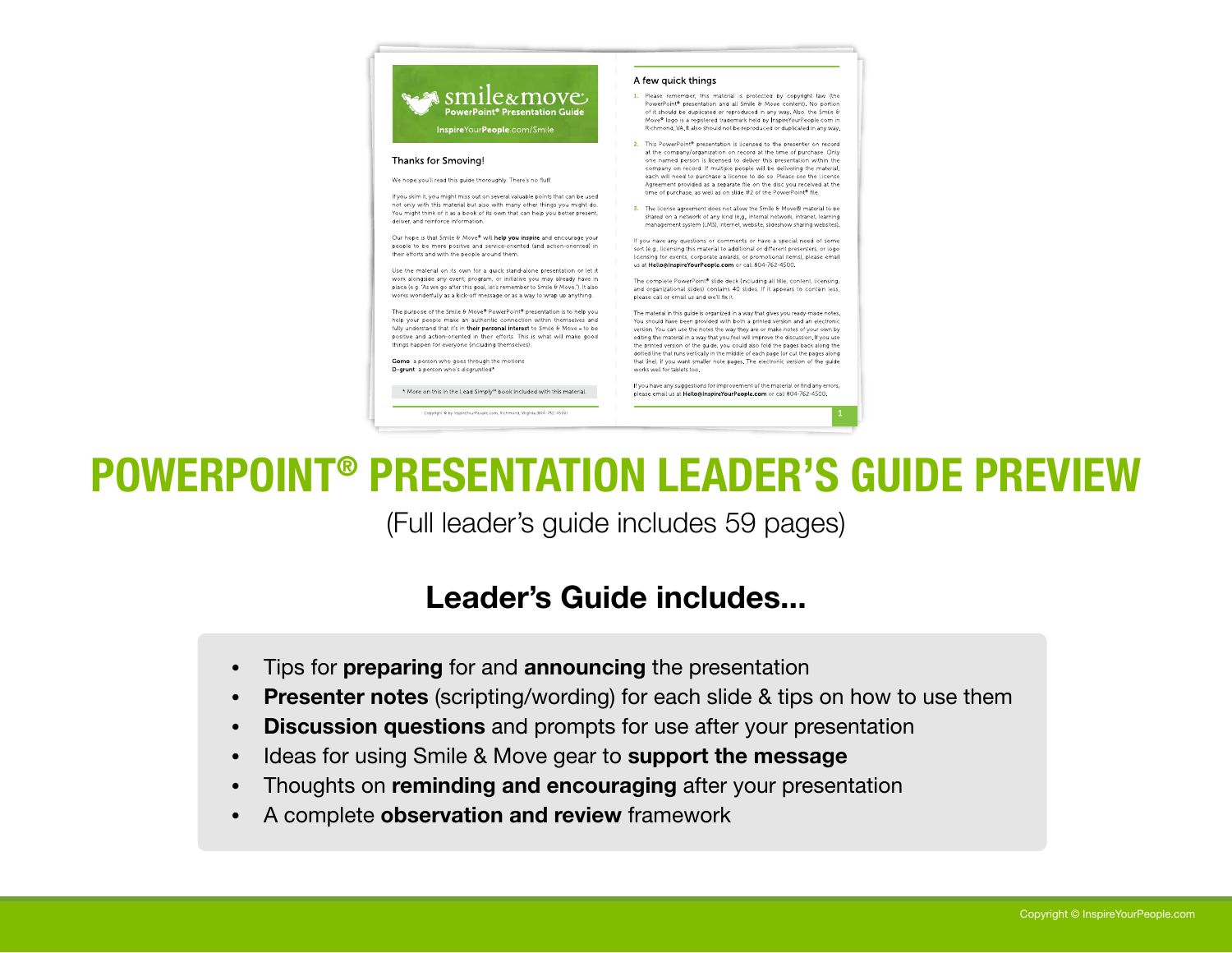#### A few quick things

- 1. Please remember, this material is protected by copyright law (the PowerPoint® presentation and all Smile & Move content). No portion<br>of it should be duplicated or reproduced in any way. Also, the Smile & Move® logo is a registered trademark held by InspireYourPeople.com in Richmond, VA. It also should not be reproduced or duplicated in any way.
- 2. This PowerPoint® presentation is licensed to the presenter on record at the company/organization on record at the time of purchase. Only one named person is licensed to deliver this presentation within the company on record. If multiple people will be delivering the material each will need to purchase a license to do so. Please see the License Agreement provided as a separate file on the disc you received at the time of nurchase, as well as on slide #2 of the PowerPoint® file
- 3. The license agreement does not allow the Smile & Move® material to be shared on a network of any kind (e.g., internal network, intranet, learning management system (LMS), internet, website, slideshow sharing websites).

If you have any questions or comments or have a special need of some sort (e.g., licensing this material to additional or different presenters, or logo licensing for events, corporate awards, or promotional items), please email us at Hello@InspireYourPeople.com or call 804-762-4500.

The complete PowerPoint® slide deck (including all title, content, licensing and organizational slides) contains 40 slides. If it appears to contain less, please call or email us and we'll fix it.

The material in this quide is organized in a way that gives you ready-made notes. You should have been provided with both a printed version and an electronic version. You can use the notes the way they are or make notes of your own by editing the material in a way that you feel will improve the discussion. If you use the printed version of the guide, you could also fold the pages back along the dotted line that runs vertically in the middle of each page (or cut the pages along that line), if you want smaller note pages. The electronic version of the guide works well for tablets too

If you have any suggestions for improvement of the material or find any errors please email us at Hello@InspireYourPeople.com or call 804-762-4500.

POWERPOINT® PRESENTATION LEADER'S GUIDE PREVIEW

(Full leader's guide includes 59 pages)

## Leader's Guide includes...

Tips for preparing for and announcing the presentation •

smile&move ا

InspireYourPeople.com/Smile

If you skim it, you might miss out on several valuable points that can be used not only with this material but also with many other things you might do.

You might think of it as a book of its own that can help you better present.

Our hope is that Smile & Move® will help you inspire and encourage your

people to be more positive and service-oriented (and action-oriented) in

Use the material on its own for a quick stand-alone presentation or let it work alongside any event, program, or initiative you may already have in

place (e.g. "As we go after this goal, let's remember to Smile & Move."). It also

works wonderfully as a kick-off message or as a way to wrap up anything.

The purpose of the Smile & Move® PowerPoint® presentation is to help you

help your people make an authentic connection within themselves and

fully understand that it's in their personal interest to Smile & Move - to be

positive and action-oriented in their efforts. This is what will make good

\* More on this in the Lead Simply<sup>n</sup> book included with this material.

We hope you'll read this guide thoroughly. There's no fluff

Thanks for Smoving!

deliver, and reinforce information.

their efforts and with the people around them.

things happen for everyone (including themselves).

Gomo: a person who goes through the motions D-grunt: a person who's discruntled\*

PowerPoint® Presentation Guide

- **Presenter notes** (scripting/wording) for each slide & tips on how to use them •
- Discussion questions and prompts for use after your presentation •
- Ideas for using Smile & Move gear to support the message •
- Thoughts on reminding and encouraging after your presentation •
- A complete observation and review framework •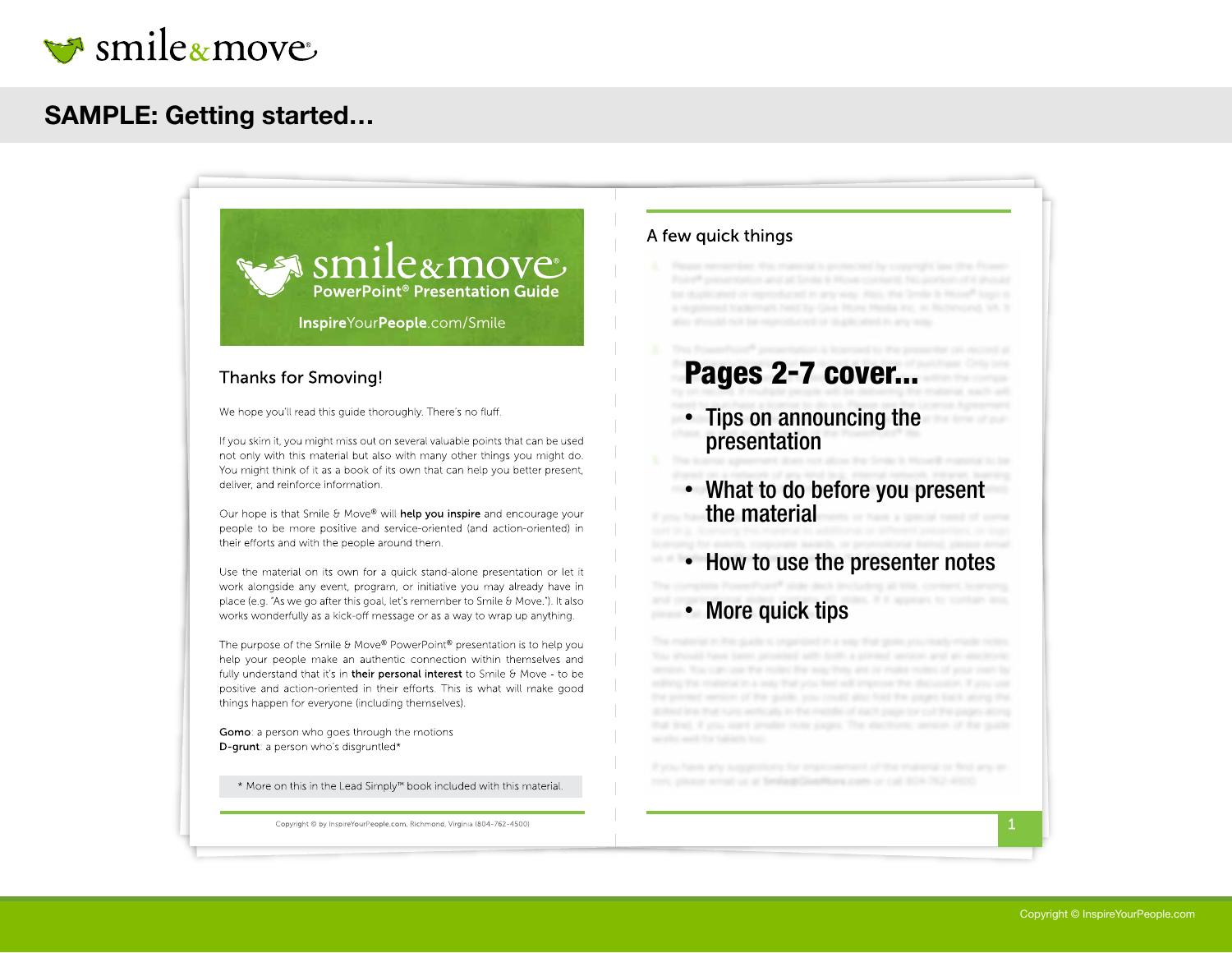

### SAMPLE: Getting started…

 $\approx$  smile a move **PowerPoint<sup>®</sup> Presentation Guide** InspireYourPeople.com/Smile

#### **Thanks for Smoving!**

We hope you'll read this quide thoroughly. There's no fluff.

If you skim it, you might miss out on several valuable points that can be used not only with this material but also with many other things you might do. You might think of it as a book of its own that can help you better present, deliver, and reinforce information.

Our hope is that Smile & Move® will help you inspire and encourage your people to be more positive and service-oriented (and action-oriented) in their efforts and with the people around them.

Use the material on its own for a quick stand-alone presentation or let it work alongside any event, program, or initiative you may already have in place (e.g. "As we go after this goal, let's remember to Smile & Move."). It also works wonderfully as a kick-off message or as a way to wrap up anything.

The purpose of the Smile & Move® PowerPoint® presentation is to help you help your people make an authentic connection within themselves and fully understand that it's in their personal interest to Smile & Move - to be positive and action-oriented in their efforts. This is what will make good things happen for everyone (including themselves).

Gomo: a person who goes through the motions D-grunt: a person who's disgruntled\*

\* More on this in the Lead Simply<sup>™</sup> book included with this material.

Copyright © by InspireYourPeople.com, Richmond, Virginia (804-762-4500)

#### A few quick things

# Pages 2-7 cover...

- Tips on announcing the presentation
- What to do before you present the material
- How to use the presenter notes
- More quick tips

ron, please errorl us at brelauteGoedhans.com or call 804-762-4400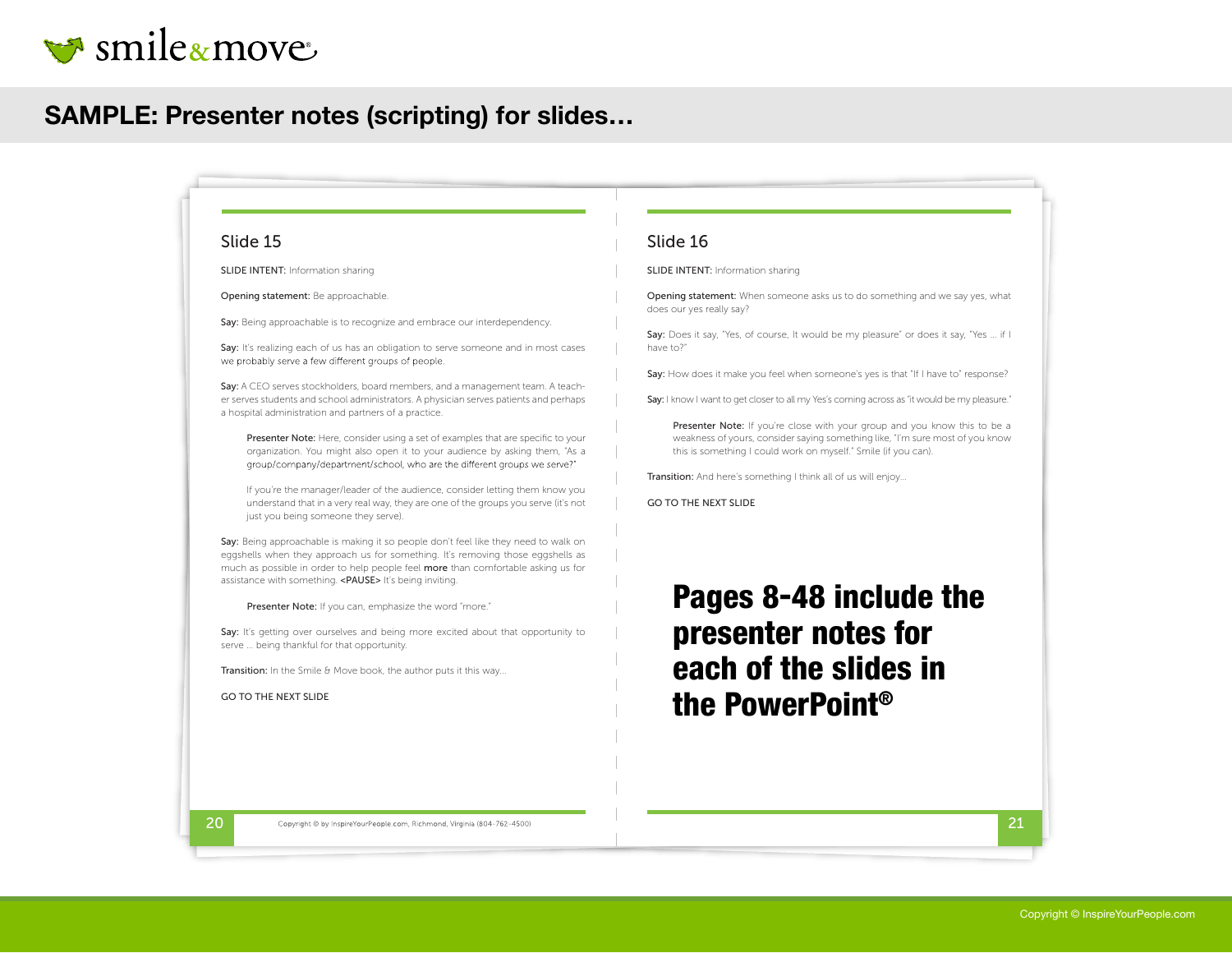

### SAMPLE: Presenter notes (scripting) for slides…

#### Slide 15

SLIDE INTENT: Information sharing

Opening statement: Be approachable.

Say: Being approachable is to recognize and embrace our interdependency.

Say: It's realizing each of us has an obligation to serve someone and in most cases we probably serve a few different groups of people.

Say: A CEO serves stockholders, board members, and a management team. A teacher serves students and school administrators. A physician serves patients and perhaps a hospital administration and partners of a practice.

Presenter Note: Here, consider using a set of examples that are specific to your organization. You might also open it to your audience by asking them, "As a group/company/department/school, who are the different groups we serve?"

If you're the manager/leader of the audience, consider letting them know you understand that in a very real way, they are one of the groups you serve (it's not just you being someone they serve).

Say: Being approachable is making it so people don't feel like they need to walk on eggshells when they approach us for something. It's removing those eggshells as much as possible in order to help people feel more than comfortable asking us for assistance with something. <PAUSE> It's being inviting.

Presenter Note: If you can, emphasize the word "more."

Say: It's getting over ourselves and being more excited about that opportunity to serve ... being thankful for that opportunity.

Transition: In the Smile & Move book, the author puts it this way...

GO TO THE NEXT SLIDE

#### Slide 16

SLIDE INTENT: Information sharing

Opening statement: When someone asks us to do something and we say yes, what does our yes really say?

Say: Does it say, "Yes, of course, It would be my pleasure" or does it say, "Yes ... if I have to?"

Say: How does it make you feel when someone's yes is that "If I have to" response?

Say: I know I want to get closer to all my Yes's coming across as "it would be my pleasure."

Presenter Note: If you're close with your group and you know this to be a weakness of yours, consider saying something like, "I'm sure most of you know this is something I could work on myself." Smile (if you can).

Transition: And here's something I think all of us will enjoy...

GO TO THE NEXT SLIDE

Pages 8-48 include the presenter notes for each of the slides in the PowerPoint®

 $20$  Copyright © by InspireYourPeople.com, Richmond, Virginia (804-762-4500)  $21$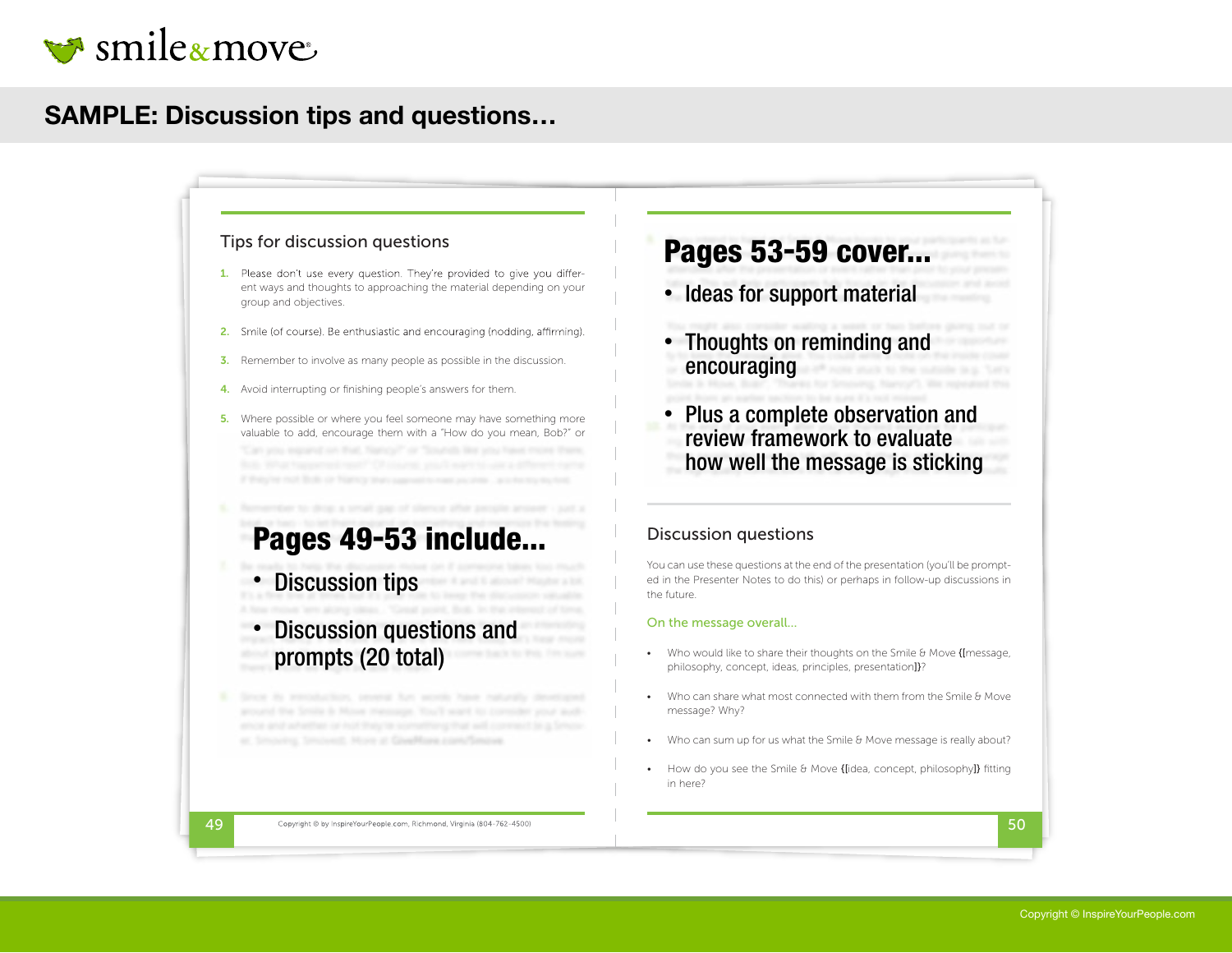

## SAMPLE: Discussion tips and questions…

#### Tips for discussion questions

- 1. Please don't use every question. They're provided to give you different ways and thoughts to approaching the material depending on your group and objectives.
- 2. Smile (of course). Be enthusiastic and encouraging (nodding, affirming).
- **3.** Remember to involve as many people as possible in the discussion.
- 4. Avoid interrupting or finishing people's answers for them.
- 5. Where possible or where you feel someone may have something more valuable to add, encourage them with a "How do you mean, Bob?" or

# Pages 49-53 include...

- Discussion tips
- Discussion questions and prompts (20 total) •
- wing, Smicredt, More at Goedflam car

# Pages 53-59 cover...

- Ideas for support material
- Thoughts on reminding and encouraging
- Plus a complete observation and review framework to evaluate how well the message is sticking

#### Discussion questions

You can use these questions at the end of the presentation (you'll be prompted in the Presenter Notes to do this) or perhaps in follow-up discussions in the future.

#### On the message overall...

- Who would like to share their thoughts on the Smile & Move {[message, philosophy, concept, ideas, principles, presentation]}?
- Who can share what most connected with them from the Smile & Move message? Why?
- Who can sum up for us what the Smile & Move message is really about?
- How do you see the Smile & Move {[idea, concept, philosophy]} fitting in here?

 $\frac{49}{50}$  Copyright © by InspireYourPeople.com, Richmond, Virginia (804-762-4500)